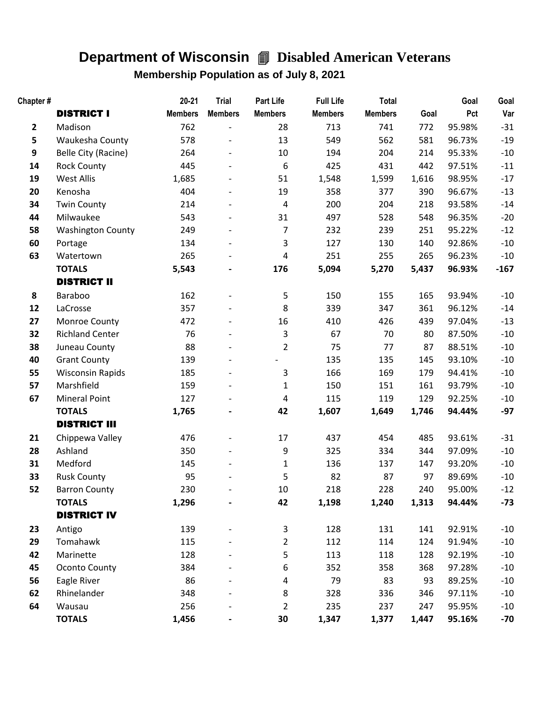## **Department of Wisconsin** 4 **Disabled American Veterans**

## **Membership Population as of July 8, 2021**

| Chapter#         |                          | $20 - 21$      | <b>Trial</b>   | Part Life      | <b>Full Life</b> | <b>Total</b>   |       | Goal   | Goal   |
|------------------|--------------------------|----------------|----------------|----------------|------------------|----------------|-------|--------|--------|
|                  | <b>DISTRICT I</b>        | <b>Members</b> | <b>Members</b> | <b>Members</b> | <b>Members</b>   | <b>Members</b> | Goal  | Pct    | Var    |
| $\overline{2}$   | Madison                  | 762            |                | 28             | 713              | 741            | 772   | 95.98% | $-31$  |
| 5                | Waukesha County          | 578            |                | 13             | 549              | 562            | 581   | 96.73% | $-19$  |
| $\boldsymbol{9}$ | Belle City (Racine)      | 264            |                | 10             | 194              | 204            | 214   | 95.33% | $-10$  |
| 14               | <b>Rock County</b>       | 445            |                | 6              | 425              | 431            | 442   | 97.51% | $-11$  |
| 19               | <b>West Allis</b>        | 1,685          |                | 51             | 1,548            | 1,599          | 1,616 | 98.95% | $-17$  |
| 20               | Kenosha                  | 404            |                | 19             | 358              | 377            | 390   | 96.67% | $-13$  |
| 34               | <b>Twin County</b>       | 214            |                | $\pmb{4}$      | 200              | 204            | 218   | 93.58% | $-14$  |
| 44               | Milwaukee                | 543            |                | 31             | 497              | 528            | 548   | 96.35% | $-20$  |
| 58               | <b>Washington County</b> | 249            |                | 7              | 232              | 239            | 251   | 95.22% | $-12$  |
| 60               | Portage                  | 134            |                | 3              | 127              | 130            | 140   | 92.86% | $-10$  |
| 63               | Watertown                | 265            |                | 4              | 251              | 255            | 265   | 96.23% | $-10$  |
|                  | <b>TOTALS</b>            | 5,543          |                | 176            | 5,094            | 5,270          | 5,437 | 96.93% | $-167$ |
|                  | <b>DISTRICT II</b>       |                |                |                |                  |                |       |        |        |
| 8                | Baraboo                  | 162            |                | 5              | 150              | 155            | 165   | 93.94% | $-10$  |
| 12               | LaCrosse                 | 357            |                | 8              | 339              | 347            | 361   | 96.12% | $-14$  |
| 27               | Monroe County            | 472            |                | 16             | 410              | 426            | 439   | 97.04% | $-13$  |
| 32               | <b>Richland Center</b>   | 76             |                | 3              | 67               | 70             | 80    | 87.50% | $-10$  |
| 38               | Juneau County            | 88             |                | $\overline{2}$ | 75               | 77             | 87    | 88.51% | $-10$  |
| 40               | <b>Grant County</b>      | 139            |                |                | 135              | 135            | 145   | 93.10% | $-10$  |
| 55               | <b>Wisconsin Rapids</b>  | 185            |                | 3              | 166              | 169            | 179   | 94.41% | $-10$  |
| 57               | Marshfield               | 159            |                | $\mathbf{1}$   | 150              | 151            | 161   | 93.79% | $-10$  |
| 67               | <b>Mineral Point</b>     | 127            |                | 4              | 115              | 119            | 129   | 92.25% | $-10$  |
|                  | <b>TOTALS</b>            | 1,765          |                | 42             | 1,607            | 1,649          | 1,746 | 94.44% | $-97$  |
|                  | <b>DISTRICT III</b>      |                |                |                |                  |                |       |        |        |
| 21               | Chippewa Valley          | 476            |                | 17             | 437              | 454            | 485   | 93.61% | $-31$  |
| 28               | Ashland                  | 350            |                | 9              | 325              | 334            | 344   | 97.09% | $-10$  |
| 31               | Medford                  | 145            |                | $\mathbf{1}$   | 136              | 137            | 147   | 93.20% | $-10$  |
| 33               | <b>Rusk County</b>       | 95             |                | 5              | 82               | 87             | 97    | 89.69% | $-10$  |
| 52               | <b>Barron County</b>     | 230            |                | 10             | 218              | 228            | 240   | 95.00% | $-12$  |
|                  | <b>TOTALS</b>            | 1,296          |                | 42             | 1,198            | 1,240          | 1,313 | 94.44% | $-73$  |
|                  | <b>DISTRICT IV</b>       |                |                |                |                  |                |       |        |        |
| 23               | Antigo                   | 139            |                | 3              | 128              | 131            | 141   | 92.91% | $-10$  |
| 29               | Tomahawk                 | 115            |                | $\overline{2}$ | 112              | 114            | 124   | 91.94% | $-10$  |
| 42               | Marinette                | 128            |                | 5              | 113              | 118            | 128   | 92.19% | $-10$  |
| 45               | Oconto County            | 384            |                | 6              | 352              | 358            | 368   | 97.28% | $-10$  |
| 56               | Eagle River              | 86             |                | 4              | 79               | 83             | 93    | 89.25% | $-10$  |
| 62               | Rhinelander              | 348            |                | 8              | 328              | 336            | 346   | 97.11% | $-10$  |
| 64               | Wausau                   | 256            |                | 2              | 235              | 237            | 247   | 95.95% | $-10$  |
|                  | <b>TOTALS</b>            | 1,456          |                | 30             | 1,347            | 1,377          | 1,447 | 95.16% | $-70$  |